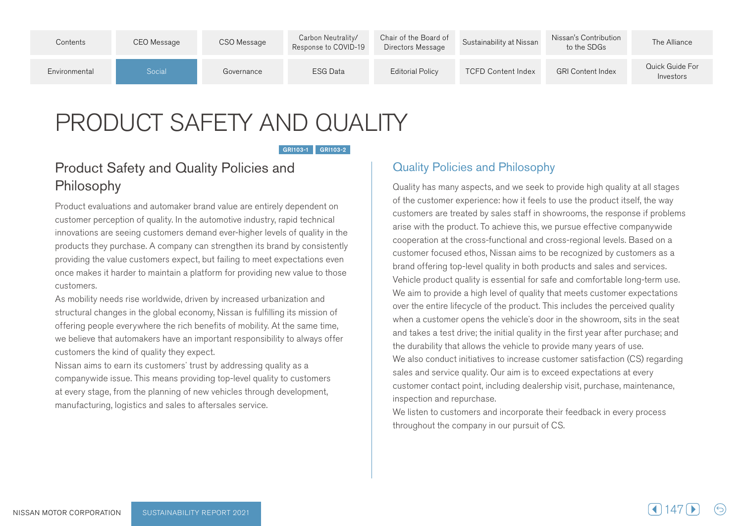| Contents      | CEO Message | CSO Message | Carbon Neutrality/<br>Response to COVID-19 | Chair of the Board of<br>Directors Message | Sustainability at Nissan  | Nissan's Contribution<br>to the SDGs | The Alliance                 |
|---------------|-------------|-------------|--------------------------------------------|--------------------------------------------|---------------------------|--------------------------------------|------------------------------|
| Environmental | Social      | Governance  | ESG Data                                   | <b>Editorial Policy</b>                    | <b>TCFD Content Index</b> | <b>GRI Content Index</b>             | Quick Guide For<br>Investors |

# PRODUCT SAFETY AND QUALITY

#### GRI103-1 GRI103-2

### Product Safety and Quality Policies and Philosophy

Product evaluations and automaker brand value are entirely dependent on customer perception of quality. In the automotive industry, rapid technical innovations are seeing customers demand ever-higher levels of quality in the products they purchase. A company can strengthen its brand by consistently providing the value customers expect, but failing to meet expectations even once makes it harder to maintain a platform for providing new value to those .customers

As mobility needs rise worldwide, driven by increased urbanization and structural changes in the global economy. Nissan is fulfilling its mission of offering people everywhere the rich benefits of mobility. At the same time. we believe that automakers have an important responsibility to always offer customers the kind of quality they expect.

Nissan aims to earn its customers' trust by addressing quality as a companywide issue. This means providing top-level quality to customers at every stage, from the planning of new vehicles through development, manufacturing, logistics and sales to aftersales service.

### **Quality Policies and Philosophy**

Quality has many aspects, and we seek to provide high quality at all stages of the customer experience: how it feels to use the product itself, the way customers are treated by sales staff in showrooms, the response if problems arise with the product. To achieve this, we pursue effective companywide cooperation at the cross-functional and cross-regional levels. Based on a customer focused ethos, Nissan aims to be recognized by customers as a brand offering top-level quality in both products and sales and services. Vehicle product quality is essential for safe and comfortable long-term use. We aim to provide a high level of quality that meets customer expectations over the entire lifecycle of the product. This includes the perceived quality when a customer opens the vehicle's door in the showroom, sits in the seat and takes a test drive; the initial quality in the first year after purchase; and the durability that allows the vehicle to provide many years of use. We also conduct initiatives to increase customer satisfaction (CS) regarding sales and service quality. Our aim is to exceed expectations at every customer contact point, including dealership visit, purchase, maintenance, inspection and repurchase.

We listen to customers and incorporate their feedback in every process throughout the company in our pursuit of CS.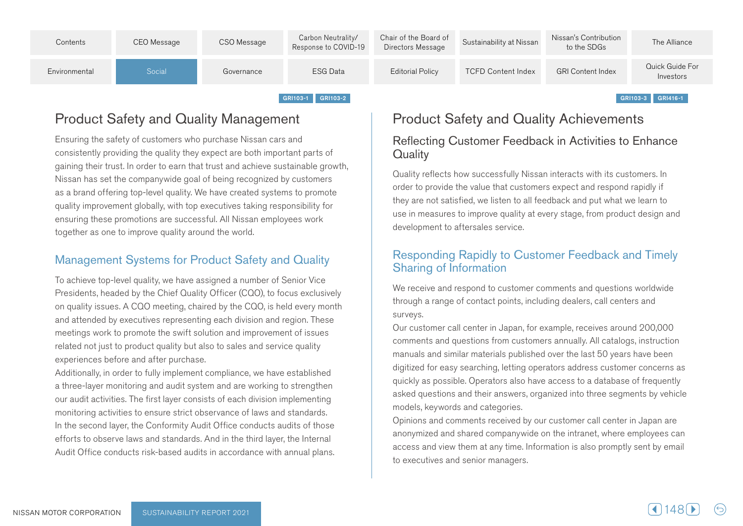

### **Product Safety and Quality Management**

Ensuring the safety of customers who purchase Nissan cars and consistently providing the quality they expect are both important parts of growth achieve sustainable around trust and trust and achieve achieve and their trust. Nissan has set the companywide goal of being recognized by customers as a brand offering top-level quality. We have created systems to promote quality improvement globally, with top executives taking responsibility for ensuring these promotions are successful. All Nissan employees work together as one to improve quality around the world.

### Management Systems for Product Safety and Quality

To achieve top-level quality, we have assigned a number of Senior Vice Presidents, headed by the Chief Quality Officer (CQO), to focus exclusively on quality issues. A CQO meeting, chaired by the CQO, is held every month and attended by executives representing each division and region. These meetings work to promote the swift solution and improvement of issues related not just to product quality but also to sales and service quality experiences before and after purchase.

Additionally, in order to fully implement compliance, we have established a three-layer monitoring and audit system and are working to strengthen our audit activities. The first layer consists of each division implementing monitoring activities to ensure strict observance of laws and standards. In the second layer, the Conformity Audit Office conducts audits of those efforts to observe laws and standards. And in the third layer, the Internal Audit Office conducts risk-based audits in accordance with annual plans.

### **Product Safety and Quality Achievements**

### Reflecting Customer Feedback in Activities to Enhance **Quality**

Quality reflects how successfully Nissan interacts with its customers. In order to provide the value that customers expect and respond rapidly if they are not satisfied, we listen to all feedback and put what we learn to use in measures to improve quality at every stage, from product design and development to aftersales service.

### Responding Rapidly to Customer Feedback and Timely **Sharing of Information**

We receive and respond to customer comments and questions worldwide through a range of contact points, including dealers, call centers and surveys.

Our customer call center in Japan, for example, receives around 200,000 comments and questions from customers annually. All catalogs, instruction manuals and similar materials published over the last 50 years have been digitized for easy searching, letting operators address customer concerns as quickly as possible. Operators also have access to a database of frequently asked questions and their answers, organized into three segments by vehicle models, keywords and categories.

Opinions and comments received by our customer call center in Japan are an onymized and shared companywide on the intranet, where employees can access and view them at any time. Information is also promptly sent by email to executives and senior managers.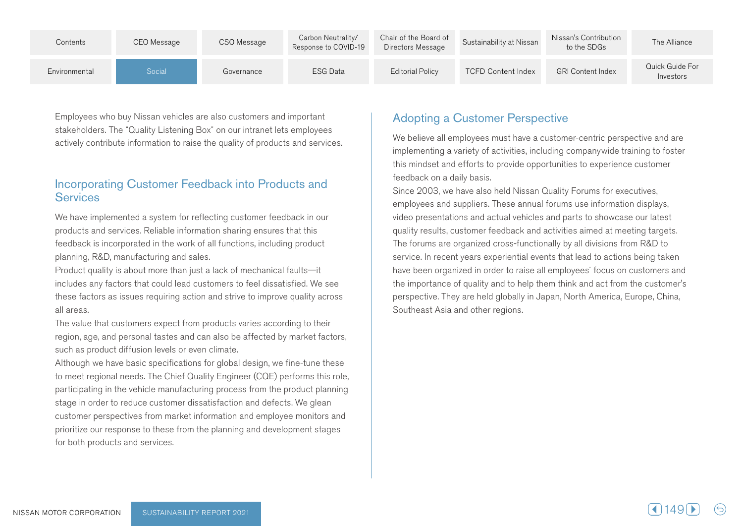| Contents      | CEO Message | CSO Message | Carbon Neutrality/<br>Response to COVID-19 | Chair of the Board of<br>Directors Message | Sustainability at Nissan  | Nissan's Contribution<br>to the SDGs | The Alliance                 |
|---------------|-------------|-------------|--------------------------------------------|--------------------------------------------|---------------------------|--------------------------------------|------------------------------|
| Environmental | Social      | Governance  | <b>ESG Data</b>                            | <b>Editorial Policy</b>                    | <b>TCFD Content Index</b> | <b>GRI Content Index</b>             | Quick Guide For<br>Investors |

Employees who buy Nissan vehicles are also customers and important stakeholders. The "Quality Listening Box" on our intranet lets employees actively contribute information to raise the quality of products and services.

### Incorporating Customer Feedback into Products and **Services**

We have implemented a system for reflecting customer feedback in our products and services. Reliable information sharing ensures that this feedback is incorporated in the work of all functions, including product planning, R&D, manufacturing and sales.

Product quality is about more than just a lack of mechanical faults-it includes any factors that could lead customers to feel dissatisfied. We see these factors as issues requiring action and strive to improve quality across all areas.

The value that customers expect from products varies according to their region, age, and personal tastes and can also be affected by market factors, such as product diffusion levels or even climate.

Although we have basic specifications for global design, we fine-tune these to meet regional needs. The Chief Quality Engineer (CQE) performs this role, participating in the vehicle manufacturing process from the product planning stage in order to reduce customer dissatisfaction and defects. We glean customer perspectives from market information and employee monitors and prioritize our response to these from the planning and development stages for both products and services.

### Adopting a Customer Perspective

We believe all employees must have a customer-centric perspective and are implementing a variety of activities, including companywide training to foster this mindset and efforts to provide opportunities to experience customer feedback on a daily basis.

Since 2003, we have also held Nissan Quality Forums for executives, employees and suppliers. These annual forums use information displays, video presentations and actual vehicles and parts to showcase our latest quality results, customer feedback and activities aimed at meeting targets. The forums are organized cross-functionally by all divisions from R&D to service. In recent years experiential events that lead to actions being taken have been organized in order to raise all employees' focus on customers and the importance of quality and to help them think and act from the customer's perspective. They are held globally in Japan, North America, Europe, China, Southeast Asia and other regions.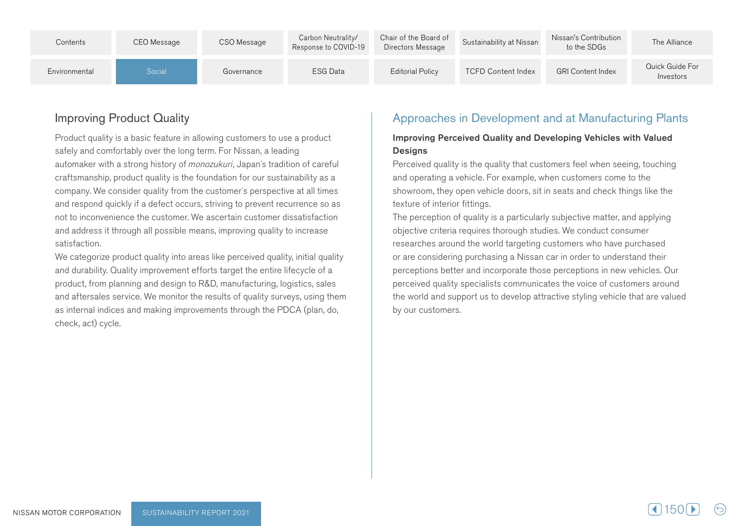| Contents      | CEO Message | CSO Message | Carbon Neutrality/<br>Response to COVID-19 | Chair of the Board of<br>Directors Message | Sustainability at Nissan  | Nissan's Contribution<br>to the SDGs | The Alliance                 |
|---------------|-------------|-------------|--------------------------------------------|--------------------------------------------|---------------------------|--------------------------------------|------------------------------|
| Environmental | Social      | Governance  | ESG Data                                   | <b>Editorial Policy</b>                    | <b>TCFD Content Index</b> | <b>GRI Content Index</b>             | Quick Guide For<br>Investors |

### **Improving Product Quality**

Product quality is a basic feature in allowing customers to use a product safely and comfortably over the long term. For Nissan, a leading automaker with a strong history of *monozukuri*, Japan's tradition of careful craftsmanship, product quality is the foundation for our sustainability as a company. We consider quality from the customer's perspective at all times and respond quickly if a defect occurs, striving to prevent recurrence so as not to inconvenience the customer. We ascertain customer dissatisfaction and address it through all possible means, improving quality to increase satisfaction.

We categorize product quality into areas like perceived quality, initial quality and durability. Quality improvement efforts target the entire lifecycle of a product, from planning and design to R&D, manufacturing, logistics, sales and aftersales service. We monitor the results of quality surveys, using them as internal indices and making improvements through the PDCA (plan, do, check, act) cycle.

### Approaches in Development and at Manufacturing Plants

#### Improving Perceived Quality and Developing Vehicles with Valued **Designs**

Perceived quality is the quality that customers feel when seeing, touching and operating a vehicle. For example, when customers come to the showroom, they open vehicle doors, sit in seats and check things like the texture of interior fittings.

The perception of quality is a particularly subjective matter, and applying objective criteria requires thorough studies. We conduct consumer researches around the world targeting customers who have purchased or are considering purchasing a Nissan car in order to understand their perceptions better and incorporate those perceptions in new vehicles. Our perceived quality specialists communicates the voice of customers around the world and support us to develop attractive styling vehicle that are valued by our customers.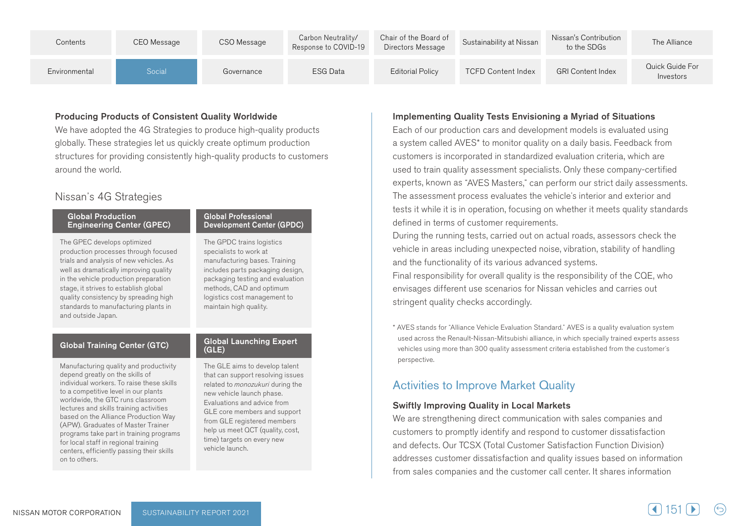| Contents      | CEO Message | CSO Message | Carbon Neutrality/<br>Response to COVID-19 | Chair of the Board of<br>Directors Message | Sustainability at Nissan  | Nissan's Contribution<br>to the SDGs | The Alliance                 |
|---------------|-------------|-------------|--------------------------------------------|--------------------------------------------|---------------------------|--------------------------------------|------------------------------|
| Environmental | Social      | Governance  | <b>ESG Data</b>                            | Editorial Policy                           | <b>TCFD Content Index</b> | <b>GRI Content Index</b>             | Quick Guide For<br>Investors |

#### Producing Products of Consistent Quality Worldwide

We have adopted the 4G Strategies to produce high-quality products globally. These strategies let us quickly create optimum production structures for providing consistently high-quality products to customers around the world.

### Nissan's 4G Strategies

#### **Global Production Engineering Center (GPEC)**

The GPEC develops optimized production processes through focused trials and analysis of new vehicles. As well as dramatically improving quality in the vehicle production preparation stage, it strives to establish global quality consistency by spreading high standards to manufacturing plants in and outside Japan.

### Global Training Center (GTC) Global Launching Expert

Manufacturing quality and productivity depend greatly on the skills of individual workers. To raise these skills to a competitive level in our plants worldwide, the GTC runs classroom lectures and skills training activities based on the Alliance Production Way (APW). Graduates of Master Trainer programs take part in training programs for local staff in regional training centers, efficiently passing their skills on to others.

#### **Global Professional** Development Center (GPDC)

The GPDC trains logistics specialists to work at manufacturing bases. Training includes parts packaging design, packaging testing and evaluation methods, CAD and optimum logistics cost management to maintain high quality.

## $(GLE)$

The GLE aims to develop talent that can support resolving issues related to monozukuri during the new vehicle launch phase. Evaluations and advice from GLE core members and support from GLE registered members help us meet QCT (quality, cost, time) targets on every new vehicle launch.

#### Implementing Quality Tests Envisioning a Myriad of Situations

Each of our production cars and development models is evaluated using a system called AVES\* to monitor quality on a daily basis. Feedback from customers is incorporated in standardized evaluation criteria, which are used to train quality assessment specialists. Only these company-certified experts, known as "AVES Masters," can perform our strict daily assessments. The assessment process evaluates the vehicle's interior and exterior and tests it while it is in operation, focusing on whether it meets quality standards defined in terms of customer requirements.

During the running tests, carried out on actual roads, assessors check the vehicle in areas including unexpected noise, vibration, stability of handling and the functionality of its various advanced systems. Final responsibility for overall quality is the responsibility of the CQE, who envisages different use scenarios for Nissan vehicles and carries out stringent quality checks accordingly.

\* AVES stands for "Alliance Vehicle Evaluation Standard." AVES is a quality evaluation system used across the Renault-Nissan-Mitsubishi alliance, in which specially trained experts assess vehicles using more than 300 quality assessment criteria established from the customer's .perspective

### Activities to Improve Market Quality

#### **Swiftly Improving Quality in Local Markets**

We are strengthening direct communication with sales companies and customers to promptly identify and respond to customer dissatisfaction and defects. Our TCSX (Total Customer Satisfaction Function Division) addresses customer dissatisfaction and quality issues based on information from sales companies and the customer call center. It shares information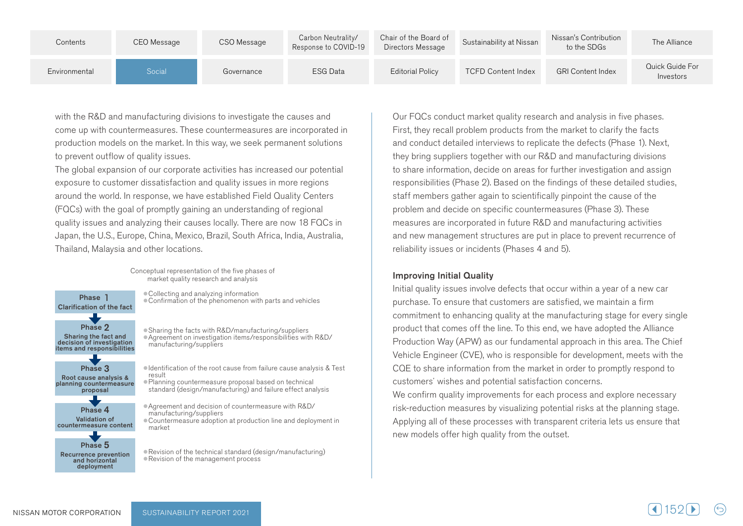| Contents      | CEO Message | CSO Message | Carbon Neutrality/<br>Response to COVID-19 | Chair of the Board of<br>Directors Message | Sustainability at Nissan  | Nissan's Contribution<br>to the SDGs | The Alliance                 |
|---------------|-------------|-------------|--------------------------------------------|--------------------------------------------|---------------------------|--------------------------------------|------------------------------|
| Environmental | Social      | Governance  | <b>ESG Data</b>                            | <b>Editorial Policy</b>                    | <b>TCFD Content Index</b> | <b>GRI Content Index</b>             | Quick Guide For<br>Investors |

with the R&D and manufacturing divisions to investigate the causes and come up with countermeasures. These countermeasures are incorporated in production models on the market. In this way, we seek permanent solutions to prevent outflow of quality issues.

The global expansion of our corporate activities has increased our potential exposure to customer dissatisfaction and quality issues in more regions around the world. In response, we have established Field Quality Centers (FQCs) with the goal of promptly gaining an understanding of regional quality issues and analyzing their causes locally. There are now 18 FQCs in Japan, the U.S., Europe, China, Mexico, Brazil, South Africa, India, Australia, Thailand, Malaysia and other locations.

> Conceptual representation of the five phases of market quality research and analysis

Phase 5 Phase 4 Validation of countermeasure content Phase 3 Root cause analysis & planning countermeasure proposal Phase 2 Sharing the fact and<br>decision of investigation items and responsibilities 1 Phase Clarification of the fact

Recurrence prevention and horizontal deployment

• Collecting and analyzing information ● Confirmation of the phenomenon with parts and vehicles

● Sharing the facts with R&D/manufacturing/suppliers ● Agreement on investigation items/responsibilities with R&D/ manufacturing/suppliers

 $\bullet$  Identification of the root cause from failure cause analysis & Test result

● Planning countermeasure proposal based on technical standard (design/manufacturing) and failure effect analysis

● Agreement and decision of countermeasure with R&D/ manufacturing/suppliers • Countermeasure adoption at production line and deployment in market

• Revision of the technical standard (design/manufacturing) • Revision of the management process

Our FQCs conduct market quality research and analysis in five phases. First, they recall problem products from the market to clarify the facts and conduct detailed interviews to replicate the defects (Phase 1). Next, they bring suppliers together with our R&D and manufacturing divisions to share information, decide on areas for further investigation and assign responsibilities (Phase 2). Based on the findings of these detailed studies, staff members gather again to scientifically pinpoint the cause of the problem and decide on specific countermeasures (Phase 3). These measures are incorporated in future R&D and manufacturing activities and new management structures are put in place to prevent recurrence of reliability issues or incidents (Phases 4 and 5).

#### **Improving Initial Quality**

Initial quality issues involve defects that occur within a year of a new car purchase. To ensure that customers are satisfied, we maintain a firm commitment to enhancing quality at the manufacturing stage for every single product that comes off the line. To this end, we have adopted the Alliance Production Way (APW) as our fundamental approach in this area. The Chief Vehicle Engineer (CVE), who is responsible for development, meets with the CQE to share information from the market in order to promptly respond to customers' wishes and potential satisfaction concerns.

We confirm quality improvements for each process and explore necessary risk-reduction measures by visualizing potential risks at the planning stage. Applying all of these processes with transparent criteria lets us ensure that new models offer high quality from the outset.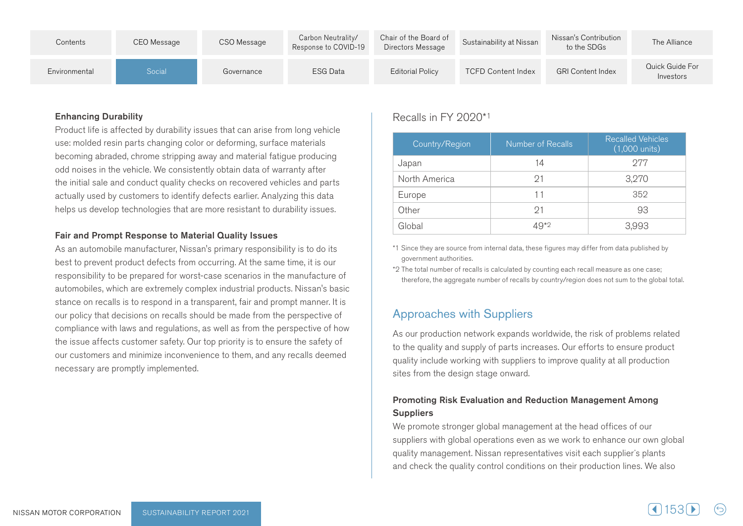| Contents      | CEO Message | CSO Message | Carbon Neutrality/<br>Response to COVID-19 | Chair of the Board of<br>Directors Message | Sustainability at Nissan  | Nissan's Contribution<br>to the SDGs | The Alliance                 |
|---------------|-------------|-------------|--------------------------------------------|--------------------------------------------|---------------------------|--------------------------------------|------------------------------|
| Environmental | Social      | Governance  | <b>ESG Data</b>                            | <b>Editorial Policy</b>                    | <b>TCFD Content Index</b> | <b>GRI Content Index</b>             | Quick Guide For<br>Investors |

#### **Enhancing Durability**

Product life is affected by durability issues that can arise from long vehicle use: molded resin parts changing color or deforming, surface materials becoming abraded, chrome stripping away and material fatigue producing odd noises in the vehicle. We consistently obtain data of warranty after the initial sale and conduct quality checks on recovered vehicles and parts actually used by customers to identify defects earlier. Analyzing this data helps us develop technologies that are more resistant to durability issues.

#### Fair and Prompt Response to Material Quality Issues

As an automobile manufacturer, Nissan's primary responsibility is to do its best to prevent product defects from occurring. At the same time, it is our responsibility to be prepared for worst-case scenarios in the manufacture of automobiles, which are extremely complex industrial products. Nissan's basic stance on recalls is to respond in a transparent, fair and prompt manner. It is our policy that decisions on recalls should be made from the perspective of compliance with laws and regulations, as well as from the perspective of how the issue affects customer safety. Our top priority is to ensure the safety of our customers and minimize inconvenience to them, and any recalls deemed necessary are promptly implemented.

### Recalls in FY 2020\*1

| Country/Region | <b>Number of Recalls</b> | <b>Recalled Vehicles</b><br>$(1,000 \text{ units})$ |
|----------------|--------------------------|-----------------------------------------------------|
| Japan          | 14                       | 977                                                 |
| North America  | 91                       | 3,270                                               |
| Europe         | 11                       | 352                                                 |
| Other          | - 21                     | 93                                                  |
| Global         | 19*2                     | 3,993                                               |

\*1 Since they are source from internal data, these figures may differ from data published by government authorities.

\*2 The total number of recalls is calculated by counting each recall measure as one case; therefore, the aggregate number of recalls by country/region does not sum to the global total.

### **Approaches with Suppliers**

As our production network expands worldwide, the risk of problems related to the quality and supply of parts increases. Our efforts to ensure product quality include working with suppliers to improve quality at all production sites from the design stage onward.

### Promoting Risk Evaluation and Reduction Management Among **Suppliers**

We promote stronger global management at the head offices of our suppliers with global operations even as we work to enhance our own global quality management. Nissan representatives visit each supplier's plants and check the quality control conditions on their production lines. We also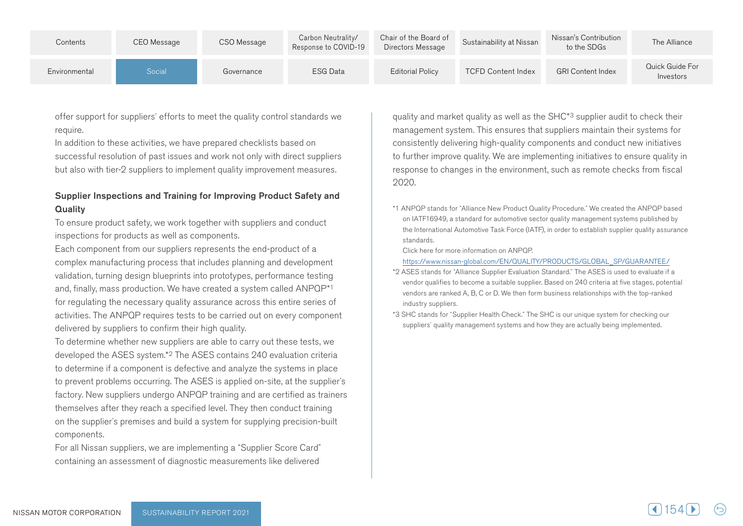| Contents      | CEO Message | CSO Message | Carbon Neutrality/<br>Response to COVID-19 | Chair of the Board of<br>Directors Message | Sustainability at Nissan  | Nissan's Contribution<br>to the SDGs | The Alliance                 |
|---------------|-------------|-------------|--------------------------------------------|--------------------------------------------|---------------------------|--------------------------------------|------------------------------|
| Environmental | Social      | Governance  | <b>ESG Data</b>                            | <b>Editorial Policy</b>                    | <b>TCFD Content Index</b> | <b>GRI Content Index</b>             | Quick Guide For<br>Investors |

offer support for suppliers' efforts to meet the quality control standards we require.

In addition to these activities, we have prepared checklists based on successful resolution of past issues and work not only with direct suppliers but also with tier-2 suppliers to implement quality improvement measures.

#### Supplier Inspections and Training for Improving Product Safety and **Quality**

To ensure product safety, we work together with suppliers and conduct inspections for products as well as components.

Each component from our suppliers represents the end-product of a complex manufacturing process that includes planning and development validation, turning design blueprints into prototypes, performance testing and, finally, mass production. We have created a system called ANPQP\*1 for regulating the necessary quality assurance across this entire series of activities. The ANPQP requires tests to be carried out on every component delivered by suppliers to confirm their high quality.

To determine whether new suppliers are able to carry out these tests, we developed the ASES system.\*<sup>2</sup> The ASES contains 240 evaluation criteria to determine if a component is defective and analyze the systems in place to prevent problems occurring. The ASES is applied on-site, at the supplier's factory. New suppliers undergo ANPQP training and are certified as trainers themselves after they reach a specified level. They then conduct training on the supplier's premises and build a system for supplying precision-built .components

For all Nissan suppliers, we are implementing a "Supplier Score Card" containing an assessment of diagnostic measurements like delivered

quality and market quality as well as the SHC<sup>\*3</sup> supplier audit to check their management system. This ensures that suppliers maintain their systems for consistently delivering high-quality components and conduct new initiatives to further improve quality. We are implementing initiatives to ensure quality in response to changes in the environment, such as remote checks from fiscal 2020.

\*1 ANPQP stands for "Alliance New Product Quality Procedure." We created the ANPQP based on IATF16949, a standard for automotive sector quality management systems published by the International Automotive Task Force (IATF), in order to establish supplier quality assurance .standards

Click here for more information on ANPOP.

https://www.nissan-global.com/EN/QUALITY/PRODUCTS/GLOBAL\_SP/GUARANTEE/

- \*2 ASES stands for "Alliance Supplier Evaluation Standard." The ASES is used to evaluate if a vendor qualifies to become a suitable supplier. Based on 240 criteria at five stages, potential vendors are ranked A, B, C or D, We then form business relationships with the top-ranked industry suppliers.
- \*3 SHC stands for "Supplier Health Check." The SHC is our unique system for checking our suppliers' quality management systems and how they are actually being implemented.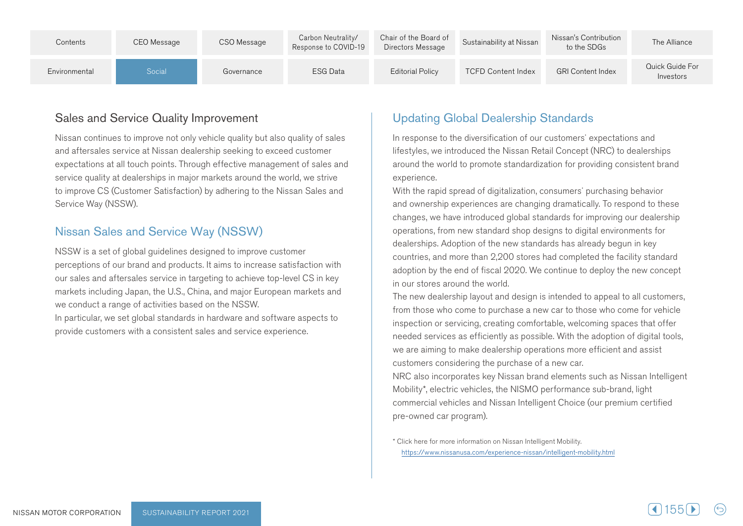| Contents      | CEO Message | CSO Message | Carbon Neutrality/<br>Response to COVID-19 | Chair of the Board of<br>Directors Message | Sustainability at Nissan  | Nissan's Contribution<br>to the SDGs | The Alliance                 |
|---------------|-------------|-------------|--------------------------------------------|--------------------------------------------|---------------------------|--------------------------------------|------------------------------|
| Environmental | Social      | Governance  | <b>ESG Data</b>                            | <b>Editorial Policy</b>                    | <b>TCFD Content Index</b> | <b>GRI Content Index</b>             | Quick Guide For<br>Investors |

### Sales and Service Quality Improvement

Nissan continues to improve not only vehicle quality but also quality of sales and aftersales service at Nissan dealership seeking to exceed customer expectations at all touch points. Through effective management of sales and service quality at dealerships in major markets around the world, we strive to improve CS (Customer Satisfaction) by adhering to the Nissan Sales and Service Way (NSSW).

### Nissan Sales and Service Way (NSSW)

NSSW is a set of global guidelines designed to improve customer perceptions of our brand and products. It aims to increase satisfaction with our sales and aftersales service in targeting to achieve top-level CS in key markets including Japan, the U.S., China, and major European markets and we conduct a range of activities based on the NSSW. In particular, we set global standards in hardware and software aspects to

provide customers with a consistent sales and service experience.

### **Updating Global Dealership Standards**

In response to the diversification of our customers' expectations and lifestyles, we introduced the Nissan Retail Concept (NRC) to dealerships around the world to promote standardization for providing consistent brand experience.

With the rapid spread of digitalization, consumers' purchasing behavior and ownership experiences are changing dramatically. To respond to these changes, we have introduced global standards for improving our dealership operations, from new standard shop designs to digital environments for dealerships. Adoption of the new standards has already begun in key countries, and more than 2,200 stores had completed the facility standard adoption by the end of fiscal 2020. We continue to deploy the new concept in our stores around the world.

The new dealership layout and design is intended to appeal to all customers, from those who come to purchase a new car to those who come for vehicle inspection or servicing, creating comfortable, welcoming spaces that offer needed services as efficiently as possible. With the adoption of digital tools, we are aiming to make dealership operations more efficient and assist customers considering the purchase of a new car.

INRC also incorporates key Nissan brand elements such as Nissan Intelligent Mobility\*, electric vehicles, the NISMO performance sub-brand, light commercial vehicles and Nissan Intelligent Choice (our premium certified pre-owned car program).

\* Click here for more information on Nissan Intelligent Mobility. https://www.nissanusa.com/experience-nissan/intelligent-mobility.html